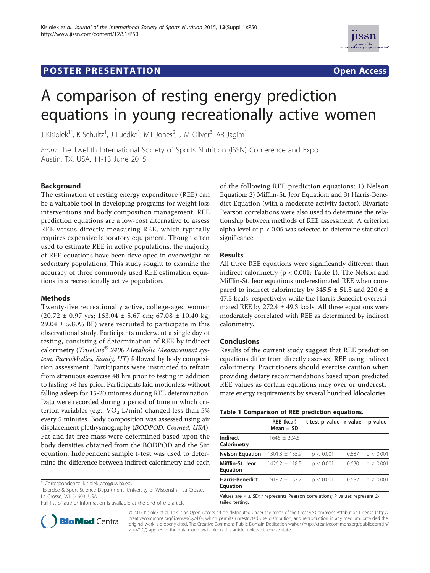## **POSTER PRESENTATION CONSUMING THE SERVICE SERVICE SERVICES**



# A comparison of resting energy prediction equations in young recreationally active women

J Kisiolek $^{\rm 1*}$ , K Schultz $^{\rm 1}$ , J Luedke $^{\rm 1}$ , MT Jones $^{\rm 2}$ , J M Oliver $^{\rm 3}$ , AR Jagim $^{\rm 1}$ 

From The Twelfth International Society of Sports Nutrition (ISSN) Conference and Expo Austin, TX, USA. 11-13 June 2015

### **Background**

The estimation of resting energy expenditure (REE) can be a valuable tool in developing programs for weight loss interventions and body composition management. REE prediction equations are a low-cost alternative to assess REE versus directly measuring REE, which typically requires expensive laboratory equipment. Though often used to estimate REE in active populations, the majority of REE equations have been developed in overweight or sedentary populations. This study sought to examine the accuracy of three commonly used REE estimation equations in a recreationally active population.

#### Methods

Twenty-five recreationally active, college-aged women  $(20.72 \pm 0.97 \text{ yrs}; 163.04 \pm 5.67 \text{ cm}; 67.08 \pm 10.40 \text{ kg};$  $29.04 \pm 5.80\%$  BF) were recruited to participate in this observational study. Participants underwent a single day of testing, consisting of determination of REE by indirect calorimetry (TrueOne<sup>®</sup> 2400 Metabolic Measurement system, ParvoMedics, Sandy, UT) followed by body composition assessment. Participants were instructed to refrain from strenuous exercise 48 hrs prior to testing in addition to fasting >8 hrs prior. Participants laid motionless without falling asleep for 15-20 minutes during REE determination. Data were recorded during a period of time in which criterion variables (e.g.,  $VO<sub>2</sub> L/min$ ) changed less than 5% every 5 minutes. Body composition was assessed using air displacement plethysmography (BODPOD, Cosmed, USA). Fat and fat-free mass were determined based upon the body densities obtained from the BODPOD and the Siri equation. Independent sample t-test was used to determine the difference between indirect calorimetry and each

<sup>1</sup> Exercise & Sport Science Department, University of Wisconsin - La Crosse, La Crosse, WI, 54603, USA

Full list of author information is available at the end of the article



of the following REE prediction equations: 1) Nelson Equation; 2) Mifflin-St. Jeor Equation; and 3) Harris-Benedict Equation (with a moderate activity factor). Bivariate Pearson correlations were also used to determine the relationship between methods of REE assessment. A criterion alpha level of  $p < 0.05$  was selected to determine statistical significance.

#### Results

All three REE equations were significantly different than indirect calorimetry (p < 0.001; Table 1). The Nelson and Mifflin-St. Jeor equations underestimated REE when compared to indirect calorimetry by  $345.5 \pm 51.5$  and  $220.6 \pm 1.5$ 47.3 kcals, respectively; while the Harris Benedict overestimated REE by  $272.4 \pm 49.3$  kcals. All three equations were moderately correlated with REE as determined by indirect calorimetry.

#### Conclusions

Results of the current study suggest that REE prediction equations differ from directly assessed REE using indirect calorimetry. Practitioners should exercise caution when providing dietary recommendations based upon predicted REE values as certain equations may over or underestimate energy requirements by several hundred kilocalories.

|  |  | Table 1 Comparison of REE prediction equations. |  |  |  |  |
|--|--|-------------------------------------------------|--|--|--|--|
|--|--|-------------------------------------------------|--|--|--|--|

|                                           | <b>REE</b> (kcal)<br>Mean $\pm$ SD | t-test p value r value |       | p value   |  |  |  |
|-------------------------------------------|------------------------------------|------------------------|-------|-----------|--|--|--|
| Indirect<br>Calorimetry                   | $1646 + 2046$                      |                        |       |           |  |  |  |
| <b>Nelson Equation</b>                    | $1301.3 \pm 155.9$                 | p < 0.001              | 0.687 | p < 0.001 |  |  |  |
| Mifflin-St. Jeor<br><b>Equation</b>       | $1426.2 \pm 118.5$                 | p < 0.001              | 0.630 | p < 0.001 |  |  |  |
| <b>Harris-Benedict</b><br><b>Equation</b> | $1919.2 \pm 137.2$                 | p < 0.001              | 0.682 | p < 0.001 |  |  |  |

Values are  $\times \pm$  SD; r represents Pearson correlations; P values represent 2tailed testing.

© 2015 Kisiolek et al. This is an Open Access article distributed under the terms of the Creative Commons Attribution License (http:// creativecommons.org/licenses/by/4.0), which permits unrestricted use, distribution, and reproduction in any medium, provided the original work is properly cited. The Creative Commons Public Domain Dedication waiver (http://creativecommons.org/publicdomain/ zero/1.0/) applies to the data made available in this article, unless otherwise stated.

<sup>\*</sup> Correspondence: kisiolek.jaco@uwlax.edu